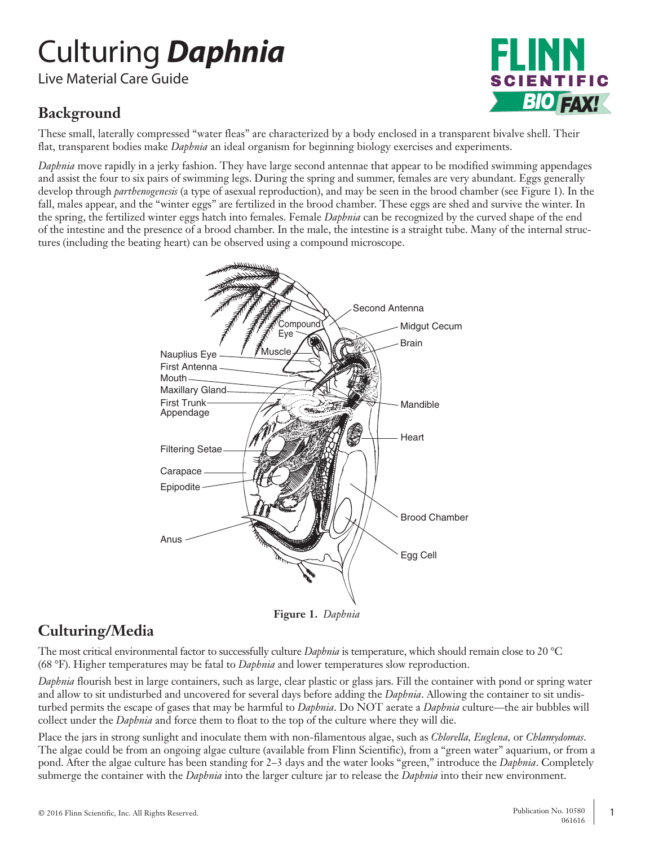# Culturing *Daphnia*

Live Material Care Guide

## **Background**

SCIENTIFIC *BIO FAX!*

These small, laterally compressed "water fleas" are characterized by a body enclosed in a transparent bivalve shell. Their flat, transparent bodies make *Daphnia* an ideal organism for beginning biology exercises and experiments.

*Daphnia* move rapidly in a jerky fashion. They have large second antennae that appear to be modified swimming appendages and assist the four to six pairs of swimming legs. During the spring and summer, females are very abundant. Eggs generally develop through *parthenogenesis* (a type of asexual reproduction), and may be seen in the brood chamber (see Figure 1). In the fall, males appear, and the "winter eggs" are fertilized in the brood chamber. These eggs are shed and survive the winter. In the spring, the fertilized winter eggs hatch into females. Female *Daphnia* can be recognized by the curved shape of the end of the intestine and the presence of a brood chamber. In the male, the intestine is a straight tube. Many of the internal structures (including the beating heart) can be observed using a compound microscope.



**Figure 1.** *Daphnia*

## **Culturing/Media**

The most critical environmental factor to successfully culture *Daphnia* is temperature, which should remain close to 20 °C (68 °F). Higher temperatures may be fatal to *Daphnia* and lower temperatures slow reproduction.

*Daphnia* flourish best in large containers, such as large, clear plastic or glass jars. Fill the container with pond or spring water and allow to sit undisturbed and uncovered for several days before adding the *Daphnia*. Allowing the container to sit undisturbed permits the escape of gases that may be harmful to *Daphnia*. Do NOT aerate a *Daphnia* culture—the air bubbles will collect under the *Daphnia* and force them to float to the top of the culture where they will die.

Place the jars in strong sunlight and inoculate them with non-filamentous algae, such as *Chlorella, Euglena,* or *Chlamydomas*. The algae could be from an ongoing algae culture (available from Flinn Scientific), from a "green water" aquarium, or from a pond. After the algae culture has been standing for 2–3 days and the water looks "green," introduce the *Daphnia*. Completely submerge the container with the *Daphnia* into the larger culture jar to release the *Daphnia* into their new environment.